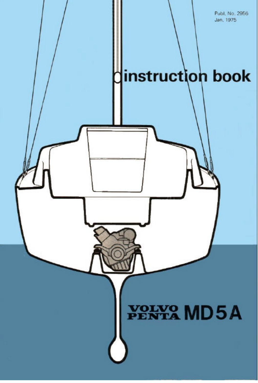Publ. No. 2956 Jan. 1975 instruction book YOLVO MD5A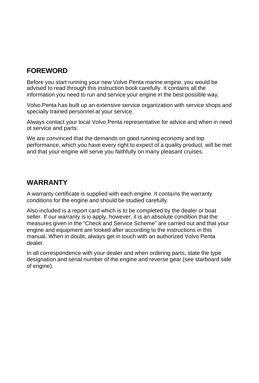### **FOREWORD**

Before you start running your new Volvo Penta marine engine, you would be advised to read through this instruction book carefully. It contains all the information you need to run and service your engine in the best possible way.

Volvo Penta has built up an extensive service organization with service shops and specially trained personnel at your service.

Always contact your local Volvo Penta representative for advice and when in need ot service and parts.

We are convinced that the demands on good running economy and top performance, which you have every right to expect of a quality product, will be met and that your engine will serve you faithfully on many pleasant cruises.

### **WARRANTY**

A warranty certificate is supplied with each engine. It contains the warranty conditions for the engine and should be studied carefully.

Also included is a report card which is to be completed by the dealer or boat seller. If our warranty is to apply, however, it is an absolute condition that the measures given in the "Check and Service Scheme" are carried out and that your engine and equipment are looked after according to the instructions in this manual. When in doubt, always get in touch with an authorized Volvo Penta dealer.

In all correspondence with your dealer and when ordering parts, state the type designation and serial number of the engine and reverse gear (see starboard side of engine).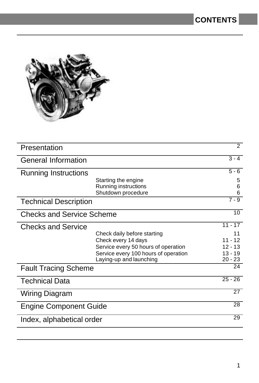

| Presentation                  |                                      | $\overline{2}$ |
|-------------------------------|--------------------------------------|----------------|
| <b>General Information</b>    |                                      | $3 - 4$        |
| Running Instructions          |                                      | $5 - 6$        |
|                               | Starting the engine                  | 5              |
|                               | Running instructions                 | 6              |
|                               | Shutdown procedure                   | 6              |
| <b>Technical Description</b>  |                                      | $7 - 9$        |
| Checks and Service Scheme     |                                      | 10             |
| <b>Checks and Service</b>     |                                      | $11 - 17$      |
|                               | Check daily before starting          | 11             |
|                               | Check every 14 days                  | $11 - 12$      |
|                               | Service every 50 hours of operation  | $12 - 13$      |
|                               | Service every 100 hours of operation | $13 - 19$      |
|                               | Laying-up and launching              | $20 - 23$      |
| <b>Fault Tracing Scheme</b>   |                                      | 24             |
| <b>Technical Data</b>         |                                      | $25 - 26$      |
| <b>Wiring Diagram</b>         |                                      | 27             |
| <b>Engine Component Guide</b> |                                      | 28             |
| Index, alphabetical order     |                                      | 29             |
|                               |                                      |                |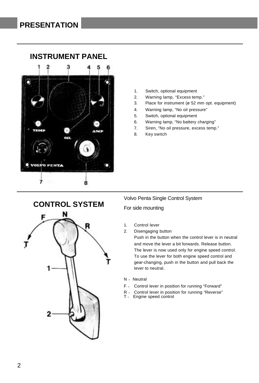

### **INSTRUMENT PANEL**

- 1. Switch, optional equipment
- 2. Warning lamp, "Excess temp."
- 3. Place for instrument (ø 52 mm opt. equipment)
- 4. Warning lamp, "No oil pressure"
- 5. Switch, optional equipment
- 6. Warning lamp, "No battery charging"
- 7. Siren, "No oil pressure, excess temp."
- 8. Key switch



#### Volvo Penta Single Control System

#### For side mounting

- 1. Control lever
- 2. Disengaging button

Push in the button when the control lever is in neutral and move the lever a bit forwards. Release button. The lever is now used only for engine speed control. To use the lever for both engine speed control and gear-changing, push in the button and pull back the lever to neutral.

- N = Neutral
- F <sup>=</sup> Control lever in position for running "Forward"
- R <sup>=</sup> Control lever in position for running "Reverse"
- T = Engine speed control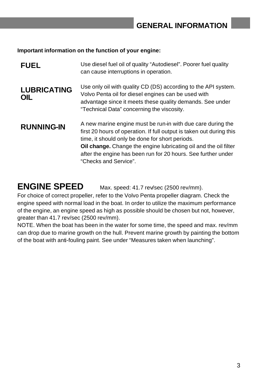**Important information on the function of your engine:**

| <b>FUEL</b>               | Use diesel fuel oil of quality "Autodiesel". Poorer fuel quality<br>can cause interruptions in operation.                                                                                                                                                                                                                                                   |
|---------------------------|-------------------------------------------------------------------------------------------------------------------------------------------------------------------------------------------------------------------------------------------------------------------------------------------------------------------------------------------------------------|
| <b>LUBRICATING</b><br>OIL | Use only oil with quality CD (DS) according to the API system.<br>Volvo Penta oil for diesel engines can be used with<br>advantage since it meets these quality demands. See under<br>"Technical Data" concerning the viscosity.                                                                                                                            |
| <b>RUNNING-IN</b>         | A new marine engine must be run-in with due care during the<br>first 20 hours of operation. If full output is taken out during this<br>time, it should only be done for short periods.<br><b>Oil change.</b> Change the engine lubricating oil and the oil filter<br>after the engine has been run for 20 hours. See further under<br>"Checks and Service". |

**ENGINE SPEED** Max. speed: 41.7 rev/sec (2500 rev/mm).

For choice of correct propeller, refer to the Volvo Penta propeller diagram. Check the engine speed with normal load in the boat. In order to utilize the maximum performance of the engine, an engine speed as high as possible should be chosen but not, however, greater than 41.7 rev/sec (2500 rev/mm).

NOTE. When the boat has been in the water for some time, the speed and max. rev/mm can drop due to marine growth on the hull. Prevent marine growth by painting the bottom of the boat with anti-fouling paint. See under "Measures taken when launching".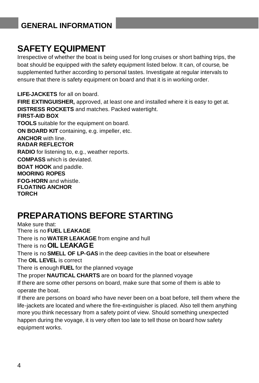# **GENERAL INFORMATION**

# **SAFETY EQUIPMENT**

Irrespective of whether the boat is being used for long cruises or short bathing trips, the boat should be equipped with the safety equipment listed below. It can, of course, be supplemented further according to personal tastes. Investigate at regular intervals to ensure that there is safety equipment on board and that it is in working order.

**LIFE-JACKETS** for all on board. **FIRE EXTINGUISHER,** approved, at least one and installed where it is easy to get at. **DISTRESS ROCKETS** and matches. Packed watertight. **FIRST-AID BOX TOOLS** suitable for the equipment on board. **ON BOARD KIT** containing, e.g. impeller, etc. **ANCHOR** with line. **RADAR REFLECTOR RADIO** for listening to, e.g., weather reports. **COMPASS** which is deviated. **BOAT HOOK** and paddle. **MOORING ROPES FOG-HORN** and whistle. **FLOATING ANCHOR TORCH**

# **PREPARATIONS BEFORE STARTING**

Make sure that: There is no **FUEL LEAKAGE** There is no **WATER LEAKAGE** from engine and hull There is no **OIL LEAKAGE** There is no **SMELL OF LP-GAS** in the deep cavities in the boat or elsewhere The **OIL LEVEL** is correct There is enough **FUEL** for the planned voyage The proper **NAUTICAL CHARTS** are on board for the planned voyage If there are some other persons on board, make sure that some of them is able to operate the boat. If there are persons on board who have never been on a boat before, tell them where the life-jackets are located and where the fire-extinguisher is placed. Also tell them anything more you think necessary from a safety point of view. Should something unexpected happen during the voyage, it is very often too late to tell those on board how safety equipment works.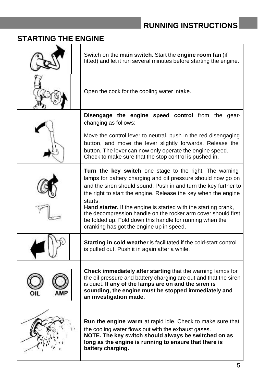# **RUNNING INSTRUCTIONS**

# **STARTING THE ENGINE**

| Switch on the main switch. Start the engine room fan (if<br>fitted) and let it run several minutes before starting the engine.                                                                                                                                                                                                                                                                                                                                                                                      |
|---------------------------------------------------------------------------------------------------------------------------------------------------------------------------------------------------------------------------------------------------------------------------------------------------------------------------------------------------------------------------------------------------------------------------------------------------------------------------------------------------------------------|
| Open the cock for the cooling water intake.                                                                                                                                                                                                                                                                                                                                                                                                                                                                         |
| Disengage the engine speed control from the gear-<br>changing as follows:<br>Move the control lever to neutral, push in the red disengaging                                                                                                                                                                                                                                                                                                                                                                         |
| button, and move the lever slightly forwards. Release the<br>button. The lever can now only operate the engine speed.<br>Check to make sure that the stop control is pushed in.                                                                                                                                                                                                                                                                                                                                     |
| Turn the key switch one stage to the right. The warning<br>lamps for battery charging and oil pressure should now go on<br>and the siren should sound. Push in and turn the key further to<br>the right to start the engine. Release the key when the engine<br>starts.<br>Hand starter. If the engine is started with the starting crank,<br>the decompression handle on the rocker arm cover should first<br>be folded up. Fold down this handle for running when the<br>cranking has got the engine up in speed. |
| <b>Starting in cold weather</b> is facilitated if the cold-start control<br>is pulled out. Push it in again after a while.                                                                                                                                                                                                                                                                                                                                                                                          |
| Check immediately after starting that the warning lamps for<br>the oil pressure and battery charging are out and that the siren<br>is quiet. If any of the lamps are on and the siren is<br>sounding, the engine must be stopped immediately and<br>an investigation made.                                                                                                                                                                                                                                          |
| Run the engine warm at rapid idle. Check to make sure that<br>the cooling water flows out with the exhaust gases.<br>NOTE. The key switch should always be switched on as<br>long as the engine is running to ensure that there is<br>battery charging.                                                                                                                                                                                                                                                             |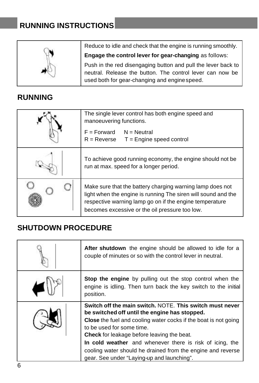# **RUNNING INSTRUCTIONS**

Reduce to idle and check that the engine is running smoothly.

**Engage the control lever for gear-changing** as follows:

Push in the red disengaging button and pull the lever back to neutral. Release the button. The control lever can now be used both for gear-changing and engine speed.

## **RUNNING**

| The single lever control has both engine speed and<br>manoeuvering functions.<br>$F = Forward$ N = Neutral<br>$R =$ Reverse $T =$ Engine speed control                                                                                  |
|-----------------------------------------------------------------------------------------------------------------------------------------------------------------------------------------------------------------------------------------|
| To achieve good running economy, the engine should not be<br>run at max. speed for a longer period.                                                                                                                                     |
| Make sure that the battery charging warning lamp does not<br>light when the engine is running The siren will sound and the<br>respective warning lamp go on if the engine temperature<br>becomes excessive or the oil pressure too low. |

### **SHUTDOWN PROCEDURE**

| After shutdown the engine should be allowed to idle for a<br>couple of minutes or so with the control lever in neutral.                                                                                                                                                                                                                                                                                                                        |
|------------------------------------------------------------------------------------------------------------------------------------------------------------------------------------------------------------------------------------------------------------------------------------------------------------------------------------------------------------------------------------------------------------------------------------------------|
| <b>Stop the engine</b> by pulling out the stop control when the<br>engine is idling. Then turn back the key switch to the initial<br>position.                                                                                                                                                                                                                                                                                                 |
| Switch off the main switch. NOTE. This switch must never<br>be switched off until the engine has stopped.<br><b>Close</b> the fuel and cooling water cocks if the boat is not going<br>to be used for some time.<br><b>Check</b> for leakage before leaving the beat.<br>In cold weather and whenever there is risk of icing, the<br>cooling water should he drained from the engine and reverse<br>gear. See under "Laying-up and launching". |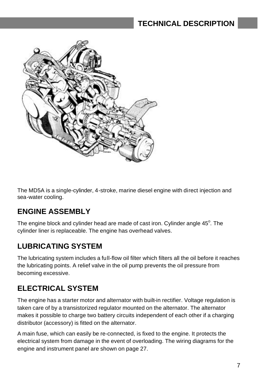# **TECHNICAL DESCRIPTION**



The MD5A is a single-cylinder, 4-stroke, marine diesel engine with direct injection and sea-water cooling.

### **ENGINE ASSEMBLY**

The engine block and cylinder head are made of cast iron. Cylinder angle  $45^{\circ}$ . The cylinder liner is replaceable. The engine has overhead valves.

### **LUBRICATING SYSTEM**

The lubricating system includes a full-flow oil filter which filters all the oil before it reaches the lubricating points. A relief valve in the oil pump prevents the oil pressure from becoming excessive.

### **ELECTRICAL SYSTEM**

The engine has a starter motor and alternator with built-in rectifier. Voltage regulation is taken care of by a transistorized regulator mounted on the alternator. The alternator makes it possible to charge two battery circuits independent of each other if a charging distributor (accessory) is fitted on the alternator.

A main fuse, which can easily be re-connected, is fixed to the engine. It protects the electrical system from damage in the event of overloading. The wiring diagrams for the engine and instrument panel are shown on page 27.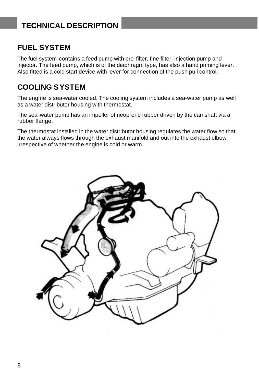# **TECHNICAL DESCRIPTION**

### **FUEL SYSTEM**

The fuel system contains a feed pump with pre-filter, fine filter, injection pump and injector. The feed pump, which is of the diaphragm type, has also a hand priming lever. Also fitted is a cold-start device with lever for connection of the push-pull control.

### **COOLING SYSTEM**

The engine is sea-water cooled. The cooling system includes a sea-water pump as well as a water distributor housing with thermostat.

The sea-water pump has an impeller of neoprene rubber driven by the camshaft via a rubber flange.

The thermostat installed in the water distributor housing regulates the water flow so that the water always flows through the exhaust manifold and out into the exhaust elbow irrespective of whether the engine is cold or warm.

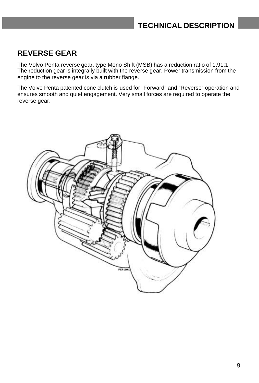### **REVERSE GEAR**

The Volvo Penta reverse gear, type Mono Shift (MSB) has a reduction ratio of 1.91:1. The reduction gear is integrally built with the reverse gear. Power transmission from the engine to the reverse gear is via a rubber flange.

The Volvo Penta patented cone clutch is used for "Forward" and "Reverse" operation and ensures smooth and quiet engagement. Very small forces are required to operate the reverse gear.

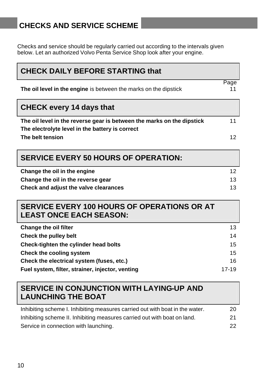# **CHECKS AND SERVICE SCHEME**

Checks and service should be regularly carried out according to the intervals given below. Let an authorized Volvo Penta Service Shop look after your engine.

| <b>CHECK DAILY BEFORE STARTING that</b>                                                                                   |            |
|---------------------------------------------------------------------------------------------------------------------------|------------|
| The oil level in the engine is between the marks on the dipstick                                                          | Page<br>11 |
| <b>CHECK every 14 days that</b>                                                                                           |            |
| The oil level in the reverse gear is between the marks on the dipstick<br>The electrolyte level in the battery is correct | 11         |
| The belt tension                                                                                                          | 12         |
| <b>SERVICE EVERY 50 HOURS OF OPERATION:</b>                                                                               |            |
| Change the oil in the engine                                                                                              | 12         |
| Change the oil in the reverse gear                                                                                        | 13         |
| Check and adjust the valve clearances                                                                                     | 13         |
|                                                                                                                           |            |
| <b>SERVICE EVERY 100 HOURS OF OPERATIONS OR AT</b><br><b>LEAST ONCE EACH SEASON:</b>                                      |            |
| <b>Change the oil filter</b>                                                                                              | 13         |
| <b>Check the pulley belt</b>                                                                                              | 14         |
| Check-tighten the cylinder head bolts                                                                                     | 15         |
| Check the cooling system                                                                                                  | 15         |
| Check the electrical system (fuses, etc.)                                                                                 | 16         |
| Fuel system, filter, strainer, injector, venting                                                                          | $17 - 19$  |
| <b>SERVICE IN CONJUNCTION WITH LAYING-UP AND</b><br><b>LAUNCHING THE BOAT</b>                                             |            |
| Inhibiting scheme I. Inhibiting measures carried out with boat in the water.                                              | 20         |

22

Service in connection with launching.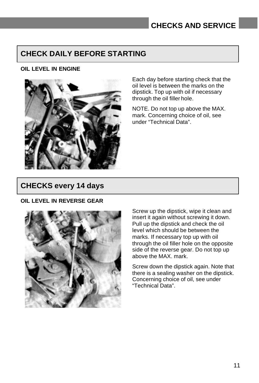### **CHECK DAILY BEFORE STARTING**

### **OIL LEVEL IN ENGINE**



Each day before starting check that the oil level is between the marks on the dipstick. Top up with oil if necessary through the oil filler hole.

NOTE. Do not top up above the MAX. mark. Concerning choice of oil, see under "Technical Data".

### **CHECKS every 14 days**

#### **OIL LEVEL IN REVERSE GEAR**



Screw up the dipstick, wipe it clean and insert it again without screwing it down. Pull up the dipstick and check the oil level which should be between the marks. If necessary top up with oil through the oil filler hole on the opposite side of the reverse gear. Do not top up above the MAX. mark.

Screw down the dipstick again. Note that there is a sealing washer on the dipstick. Concerning choice of oil, see under "Technical Data".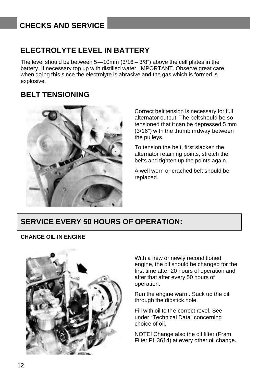### **ELECTROLYTE LEVEL IN BATTERY**

The level should be between  $5-10$ mm  $(3/16-3/8)$  above the cell plates in the battery. If necessary top up with distilled water. IMPORTANT. Observe great care when doing this since the electrolyte is abrasive and the gas which is formed is explosive.

### **BELT TENSIONING**



Correct belt tension is necessary for full alternator output. The beltshould be so tensioned that it can be depressed 5 mm (3/16") with the thumb midway between the pulleys.

To tension the belt, first slacken the alternator retaining points, stretch the belts and tighten up the points again.

A well worn or crached belt should be replaced.

### **SERVICE EVERY 50 HOURS OF OPERATION:**

#### **CHANGE OIL IN ENGINE**



With a new or newly reconditioned engine, the oil should be changed for the first time after 20 hours of operation and after that after every 50 hours of operation.

Run the engine warm. Suck up the oil through the dipstick hole.

Fill with oil to the correct revel. See under "Technical Data" concerning choice of oil.

NOTE! Change also the oil filter (Fram Filter PH3614) at every other oil change.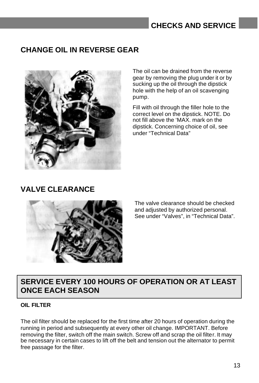### **CHANGE OIL IN REVERSE GEAR**



The oil can be drained from the reverse gear by removing the plug under it or by sucking up the oil through the dipstick hole with the help of an oil scavenging pump.

Fill with oil through the filler hole to the correct level on the dipstick. NOTE. Do not fill above the 'MAX. mark on the dipstick. Concerning choice of oil, see under "Technical Data"

### **VALVE CLEARANCE**



The valve clearance should be checked and adjusted by authorized personal. See under "Valves", in "Technical Data".

### **SERVICE EVERY 100 HOURS OF OPERATION OR AT LEAST ONCE EACH SEASON**

#### **OIL FILTER**

The oil filter should be replaced for the first time after 20 hours of operation during the running in period and subsequently at every other oil change. IMPORTANT. Before removing the filter, switch off the main switch. Screw off and scrap the oil filter. It may be necessary in certain cases to lift off the belt and tension out the alternator to permit free passage for the filter.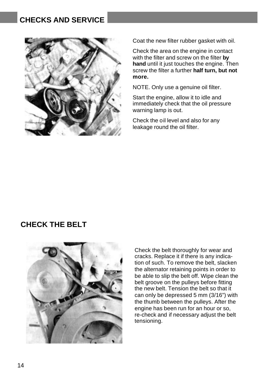

Coat the new filter rubber gasket with oil.

Check the area on the engine in contact with the filter and screw on the filter **by hand** until it just touches the engine. Then screw the filter a further **half turn, but not more.**

NOTE. Only use a genuine oil filter.

Start the engine, allow it to idle and immediately check that the oil pressure warning lamp is out.

Check the oil level and also for any leakage round the oil filter.

### **CHECK THE BELT**



Check the belt thoroughly for wear and cracks. Replace it if there is any indication of such. To remove the belt, slacken the alternator retaining points in order to be able to slip the belt off. Wipe clean the belt groove on the pulleys before fitting the new belt. Tension the belt so that it can only be depressed 5 mm (3/16") with the thumb between the pulleys. After the engine has been run for an hour or so, re-check and if necessary adjust the belt tensioning.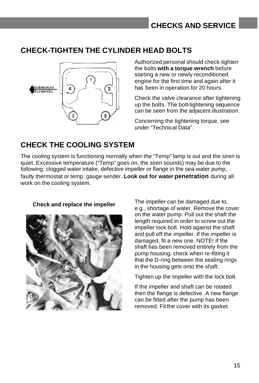## **CHECK-TIGHTEN THE CYLINDER HEAD BOLTS**



Authorized personal should check-tighten the bolts **with a torque wrench** before starting a new or newly reconditioned engine for the first time and again after it has been in operation for 20 hours.

Check the valve clearance after tightening up the bolts. The bolt-tightening sequence can be seen from the adjacent illustration.

Concerning the tightening torque, see under "Technical Data".

## **CHECK THE COOLING SYSTEM**

The cooling system is functioning normally when the "Temp" lamp is out and the siren is quiet. Excessive temperature ("Temp" goes on, the siren sounds) may be due to the following: clogged water intake, defective impeller or flange in the sea-water pump, faulty thermostat or temp. gauge sender. **Look out for water penetration** during all work on the cooling system.



**Check and replace the impeller** The impeller can be damaged due to, e.g., shortage of water. Remove the cover on the water pump. Pull out the shaft the length required in order to screw out the impeller lock bolt. Hold against the shaft and pull off the impeller. If the impeller is damaged, fit a new one. NOTE! If the shaft has been removed entirely from the pump housing, check when re-fitting it that the D-ring between the sealing rings in the housing gets onto the shaft.

Tighten up the impeller with the lock bolt.

If the impeller and shaft can be rotated then the flange is defective. A new flange can be fitted after the pump has been removed. Fit the cover with its gasket.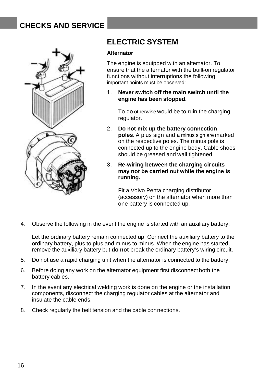

### **ELECTRIC SYSTEM**

#### **Alternator**

The engine is equipped with an altemator. To ensure that the alternator with the built-on regulator functions without interruptions the following important points must be observed:

1. **Never switch off the main switch until the engine has been stopped.**

To do otherwise would be to ruin the charging regulator.

- 2. **Do not mix up the battery connection poles.** A plus sign and a minus sign are marked on the respective poles. The minus pole is connected up to the engine body. Cable shoes should be greased and wall tightened.
- 3. **Re-wiring between the charging circuits may not be carried out while the engine is running.**

Fit a Volvo Penta charging distributor (accessory) on the alternator when more than one battery is connected up.

4. Observe the following in the event the engine is started with an auxiliary battery:

Let the ordinary battery remain connected up. Connect the auxiliary battery to the ordinary battery, plus to plus and minus to minus. When the engine has started, remove the auxiliary battery but **do not** break the ordinary battery's wiring circuit.

- 5. Do not use a rapid charging unit when the alternator is connected to the battery.
- 6. Before doing any work on the alternator equipment first disconnect both the battery cables.
- 7. In the event any electrical welding work is done on the engine or the installation components, disconnect the charging regulator cables at the alternator and insulate the cable ends.
- 8. Check regularly the belt tension and the cable connections.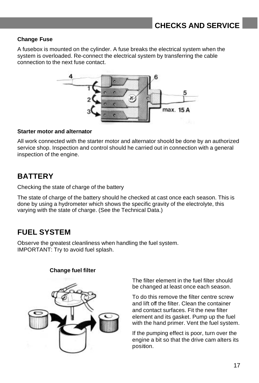### **Change Fuse**

A fusebox is mounted on the cylinder. A fuse breaks the electrical system when the system is overloaded. Re-connect the electrical system by transferring the cable connection to the next fuse contact.



#### **Starter motor and alternator**

All work connected with the starter motor and alternator shoold be done by an authorized service shop. Inspection and control should he carried out in connection with a general inspection of the engine.

### **BATTERY**

Checking the state of charge of the battery

The state of charge of the battery should he checked at cast once each season. This is done by using a hydrometer which shows the specific gravity of the electrolyte, this varying with the state of charge. (See the Technical Data.)

### **FUEL SYSTEM**

Observe the greatest cleanliness when handling the fuel system. IMPORTANT: Try to avoid fuel splash.

#### **Change fuel filter**



The filter element in the fuel filter should be changed at least once each season.

To do this remove the filter centre screw and lift off the filter. Clean the container and contact surfaces. Fit the new filter element and its gasket. Pump up the fuel with the hand primer. Vent the fuel system.

If the pumping effect is poor, turn over the engine a bit so that the drive cam alters its position.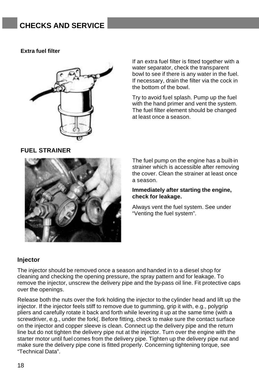#### **Extra fuel filter**



If an extra fuel filter is fitted together with a water separator, check the transparent bowl to see if there is any water in the fuel. If necessary, drain the filter via the cock in the bottom of the bowl.

Try to avoid fuel splash. Pump up the fuel with the hand primer and vent the system. The fuel filter element should be changed at least once a season.

#### **FUEL STRAINER**



The fuel pump on the engine has a built-in strainer which is accessible after removing the cover. Clean the strainer at least once a season.

#### **Immediately after starting the engine, check for leakage.**

Always vent the fuel system. See under "Venting the fuel system".

#### **Injector**

The injector should be removed once a season and handed in to a diesel shop for cleaning and checking the opening pressure, the spray pattern and for leakage. To remove the injector, unscrew the delivery pipe and the by-pass oil line. Fit protective caps over the openings.

Release both the nuts over the fork holding the injector to the cylinder head and lift up the injector. If the injector feels stiff to remove due to gumming, grip it with, e.g., polygrip pliers and carefully rotate it back and forth while levering it up at the same time (with a screwdriver, e.g., under the fork(. Before fitting, check to make sure the contact surface on the injector and copper sleeve is clean. Connect up the delivery pipe and the return line but do not tighten the delivery pipe nut at the injector. Turn over the engine with the starter motor until fuel comes from the delivery pipe. Tighten up the delivery pipe nut and make sure the delivery pipe cone is fitted properly. Concerning tightening torque, see "Technical Data".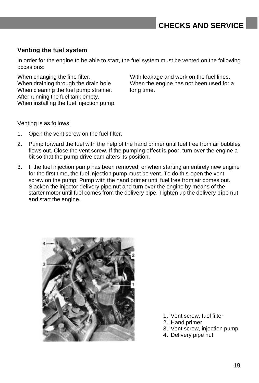### **Venting the fuel system**

In order for the engine to be able to start, the fuel system must be vented on the following occasions:

When cleaning the fuel pump strainer. long time. After running the fuel tank empty. When installing the fuel injection pump.

When changing the fine filter. With leakage and work on the fuel lines. When draining through the drain hole. When the engine has not been used for a

Venting is as follows:

- 1. Open the vent screw on the fuel filter.
- 2. Pump forward the fuel with the help of the hand primer until fuel free from air bubbles flows out. Close the vent screw. If the pumping effect is poor, turn over the engine a bit so that the pump drive cam alters its position.
- 3. If the fuel injection pump has been removed, or when starting an entirely new engine for the first time, the fuel injection pump must be vent. To do this open the vent screw on the pump. Pump with the hand primer until fuel free from air comes out. Slacken the injector delivery pipe nut and turn over the engine by means of the starter motor until fuel comes from the delivery pipe. Tighten up the delivery pipe nut and start the engine.



- 1. Vent screw, fuel filter
- 2. Hand primer
- 3. Vent screw, injection pump
- 4. Delivery pipe nut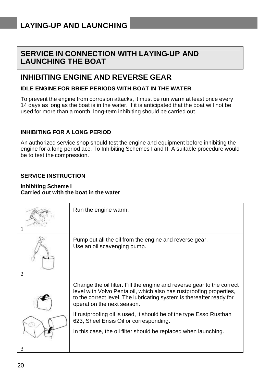### **SERVICE IN CONNECTION WITH LAYING-UP AND LAUNCHING THE BOAT**

### **INHIBITING ENGINE AND REVERSE GEAR**

### **IDLE ENGINE FOR BRIEF PERIODS WITH BOAT IN THE WATER**

To prevent the engine from corrosion attacks, it must be run warm at least once every 14 days as long as the boat is in the water. If it is anticipated that the boat will not be used for more than a month, long-term inhibiting should be carried out.

#### **INHIBITING FOR A LONG PERIOD**

An authorized service shop should test the engine and equipment before inhibiting the engine for a long period acc. To Inhibiting Schemes I and II. A suitable procedure would be to test the compression.

#### **SERVICE INSTRUCTION**

#### **Inhibiting Scheme I Carried out with the boat in the water**

| Run the engine warm.                                                                                                                                                                                                                                |
|-----------------------------------------------------------------------------------------------------------------------------------------------------------------------------------------------------------------------------------------------------|
| Pump out all the oil from the engine and reverse gear.<br>Use an oil scavenging pump.                                                                                                                                                               |
| Change the oil filter. Fill the engine and reverse gear to the correct<br>level with Volvo Penta oil, which also has rustproofing properties,<br>to the correct level. The lubricating system is thereafter ready for<br>operation the next season. |
| If rustproofing oil is used, it should be of the type Esso Rustban<br>623, Sheel Ensis Oil or corresponding.                                                                                                                                        |
| In this case, the oil filter should be replaced when launching.                                                                                                                                                                                     |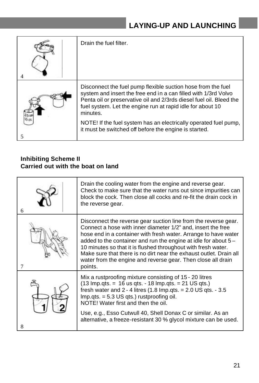| Drain the fuel filter.                                                                                                                                                                                                                                                           |
|----------------------------------------------------------------------------------------------------------------------------------------------------------------------------------------------------------------------------------------------------------------------------------|
| Disconnect the fuel pump flexible suction hose from the fuel<br>system and insert the free end in a can filled with 1/3rd Volvo<br>Penta oil or preservative oil and 2/3rds diesel fuel oil. Bleed the<br>fuel system. Let the engine run at rapid idle for about 10<br>minutes. |
| NOTE! If the fuel system has an electrically operated fuel pump,<br>it must be switched off before the engine is started.                                                                                                                                                        |

### **Inhibiting Scheme II Carried out with the boat on land**

| 6 | Drain the cooling water from the engine and reverse gear.<br>Check to make sure that the water runs out since impurities can<br>block the cock. Then close all cocks and re-fit the drain cock in<br>the reverse gear.                                                                                                                                                                                                                                                                  |
|---|-----------------------------------------------------------------------------------------------------------------------------------------------------------------------------------------------------------------------------------------------------------------------------------------------------------------------------------------------------------------------------------------------------------------------------------------------------------------------------------------|
|   | Disconnect the reverse gear suction line from the reverse gear.<br>Connect a hose with inner diameter 1/2" and, insert the free<br>hose end in a container with fresh water. Arrange to have water<br>added to the container and run the engine at idle for about 5 –<br>10 minutes so that it is flushed throughout with fresh water.<br>Make sure that there is no dirt near the exhaust outlet. Drain all<br>water from the engine and reverse gear. Then close all drain<br>points. |
|   | Mix a rustproofing mixture consisting of 15 - 20 litres<br>$(13$ lmp.qts. = 16 us qts. - 18 lmp.qts. = 21 US qts.)<br>fresh water and $2 - 4$ litres (1.8 lmp.qts. = $2.0$ US qts. - $3.5$<br>$Imp. qts. = 5.3 US qts.)$ rustproofing oil.<br>NOTE! Water first and then the oil.<br>Use, e.g., Esso Cutwull 40, Shell Donax C or similar. As an<br>alternative, a freeze-resistant 30 % glycol mixture can be used.                                                                    |
|   |                                                                                                                                                                                                                                                                                                                                                                                                                                                                                         |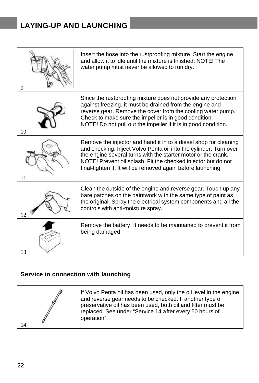# **LAYING-UP AND LAUNCHING**

|    | Insert the hose into the rustproofing mixture. Start the engine<br>and allow it to idle until the mixture is finished. NOTE! The<br>water pump must never be allowed to run dry.                                                                                                                                                        |
|----|-----------------------------------------------------------------------------------------------------------------------------------------------------------------------------------------------------------------------------------------------------------------------------------------------------------------------------------------|
| 10 | Since the rustproofing mixture does not provide any protection<br>against freezing, it must be drained from the engine and<br>reverse gear. Remove the cover from the cooling water pump.<br>Check to make sure the impeller is in good condition.<br>NOTE! Do not pull out the impeller if it is in good condition.                    |
| 11 | Remove the injector and hand it in to a diesel shop for cleaning<br>and checking. Inject Volvo Penta oil into the cylinder. Turn over<br>the engine several turns with the starter motor or the crank.<br>NOTE! Prevent oil splash. Fit the checked injector but do not<br>final-tighten it. It will be removed again before launching. |
| 12 | Clean the outside of the engine and reverse gear. Touch up any<br>bare patches on the paintwork with the same type of paint as<br>the original. Spray the electrical system components and all the<br>controls with anti-moisture spray.                                                                                                |
| 13 | Remove the battery. It needs to be maintained to prevent it from<br>being damaged.                                                                                                                                                                                                                                                      |

### **Service in connection with launching**

|  | If Volvo Penta oil has been used, only the oil level in the engine<br>and reverse gear needs to be checked. If another type of<br>preservative oil has been used, both oil and filter must be<br>replaced. See under "Service 14 after every 50 hours of<br>operation". |
|--|-------------------------------------------------------------------------------------------------------------------------------------------------------------------------------------------------------------------------------------------------------------------------|
|--|-------------------------------------------------------------------------------------------------------------------------------------------------------------------------------------------------------------------------------------------------------------------------|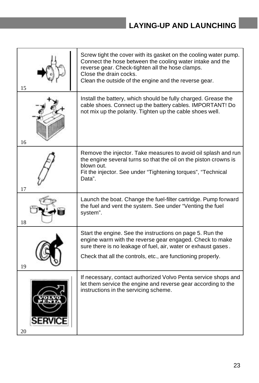# **LAYING-UP AND LAUNCHING**

| 15 | Screw tight the cover with its gasket on the cooling water pump.<br>Connect the hose between the cooling water intake and the<br>reverse gear. Check-tighten all the hose clamps.<br>Close the drain cocks.<br>Clean the outside of the engine and the reverse gear. |
|----|----------------------------------------------------------------------------------------------------------------------------------------------------------------------------------------------------------------------------------------------------------------------|
| 16 | Install the battery, which should be fully charged. Grease the<br>cable shoes. Connect up the battery cables. IMPORTANT! Do<br>not mix up the polarity. Tighten up the cable shoes well.                                                                             |
| 17 | Remove the injector. Take measures to avoid oil splash and run<br>the engine several turns so that the oil on the piston crowns is<br>blown out.<br>Fit the injector. See under "Tightening torques", "Technical<br>Data".                                           |
| 18 | Launch the boat. Change the fuel-filter cartridge. Pump forward<br>the fuel and vent the system. See under "Venting the fuel<br>system".                                                                                                                             |
| 19 | Start the engine. See the instructions on page 5. Run the<br>engine warm with the reverse gear engaged. Check to make<br>sure there is no leakage of fuel, air, water or exhaust gases.<br>Check that all the controls, etc., are functioning properly.              |
| 20 | If necessary, contact authorized Volvo Penta service shops and<br>let them service the engine and reverse gear according to the<br>instructions in the servicing scheme.                                                                                             |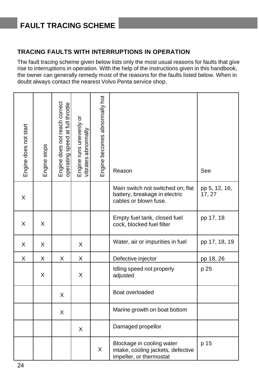# **FAULT TRACING SCHEME**

### **TRACING FAULTS WITH INTERRUPTIONS IN OPERATION**

The fault tracing scheme given below lists only the most usual reasons for faults that give rise to interruptions in operation. With the help of the instructions given in this handbook, the owner can generally remedy most of the reasons for the faults listed below. When in doubt always contact the nearest Volvo Penta service shop.

| Engine does not start | Engine stops | Engine does not reach correct<br>operating speed at full throttle | Engine runs unevenly or<br>vibrates abnormally | Engine becomes abnormally hot | Reason                                                                                      | See                     |
|-----------------------|--------------|-------------------------------------------------------------------|------------------------------------------------|-------------------------------|---------------------------------------------------------------------------------------------|-------------------------|
| X                     |              |                                                                   |                                                |                               | Main switch not switched on; flat<br>battery, breakage in electric<br>cables or blown fuse. | pp 5, 12, 16,<br>17, 27 |
| X                     | X            |                                                                   |                                                |                               | Empty fuel tank, closed fuel<br>cock, blocked fuel filter                                   | pp 17, 18               |
| X                     | X            |                                                                   | X                                              |                               | Water, air or impurities in fuel                                                            | pp 17, 18, 19           |
| Χ                     | х            | Χ                                                                 | х                                              |                               | Defective injector                                                                          | pp 18, 26               |
|                       | X            |                                                                   | X                                              |                               | Idling speed not properly<br>adjusted                                                       | p 25                    |
|                       |              | X                                                                 |                                                |                               | Boat overloaded                                                                             |                         |
|                       |              | X                                                                 |                                                |                               | Marine growth on boat bottom                                                                |                         |
|                       |              |                                                                   | X                                              |                               | Damaged propellor                                                                           |                         |
|                       |              |                                                                   |                                                | X                             | Blockage in cooling water<br>intake, cooling jackets, defective<br>impeller, or thermostat  | p 15                    |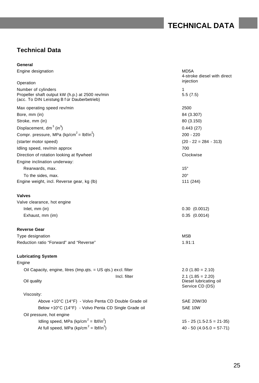# **TECHNICAL DATA**

### **Technical Data**

| General                                                                                                                |                                                                  |  |
|------------------------------------------------------------------------------------------------------------------------|------------------------------------------------------------------|--|
| Engine designation                                                                                                     | MD5A<br>4-stroke diesel with direct<br>injection                 |  |
| Operation                                                                                                              |                                                                  |  |
| Number of cylinders<br>Propeller shaft output kW (h.p.) at 2500 rev/min<br>(acc. To DIN Leistung B f ür Dauberbetrieb) | 1<br>5.5(7.5)                                                    |  |
| Max operating speed rev/min                                                                                            | 2500                                                             |  |
| Bore, mm (in)                                                                                                          | 84 (3.307)                                                       |  |
| Stroke, mm (in)                                                                                                        | 80 (3.150)                                                       |  |
| Displacement, $dm^3$ (in <sup>3</sup> )                                                                                | 0.443(27)                                                        |  |
| Compr. pressure, MPa (kp/cm <sup>2</sup> = lbf/in <sup>2</sup> )                                                       | 200 - 220                                                        |  |
| (starter motor speed)                                                                                                  | $(20 - 22 = 284 - 313)$                                          |  |
| Idling speed, rev/min approx                                                                                           | 700                                                              |  |
| Direction of rotation looking at flywheel                                                                              | Clockwise                                                        |  |
| Engine inclination underway:                                                                                           |                                                                  |  |
| Rearwards, max.                                                                                                        | $15^{\circ}$                                                     |  |
| To the sides, max.                                                                                                     | $20^{\circ}$                                                     |  |
| Engine weight, incl. Reverse gear, kg (lb)                                                                             | 111 (244)                                                        |  |
| <b>Valves</b>                                                                                                          |                                                                  |  |
| Valve clearance, hot engine                                                                                            |                                                                  |  |
| Inlet, mm (in)                                                                                                         | 0.30(0.0012)                                                     |  |
| Exhaust, mm (im)                                                                                                       | 0.35(0.0014)                                                     |  |
| <b>Reverse Gear</b>                                                                                                    |                                                                  |  |
| Type designation                                                                                                       | <b>MSB</b>                                                       |  |
| Reduction ratio "Forward" and "Reverse"                                                                                | 1.91:1                                                           |  |
| <b>Lubricating System</b>                                                                                              |                                                                  |  |
| Engine                                                                                                                 |                                                                  |  |
| Oil Capacity, engine, litres (Imp.qts. = US qts.) excl. filter                                                         | $2.0$ (1.80 = 2.10)                                              |  |
| Incl. filter<br>Oil quality                                                                                            | $2.1$ (1.85 = 2.20)<br>Diesel lubricating oil<br>Service CD (DS) |  |
| Viscosity:                                                                                                             |                                                                  |  |
| Above +10°C (14°F) - Volvo Penta CD Double Grade oil                                                                   | SAE 20W/30                                                       |  |
| Below +10°C (14°F) - Volvo Penta CD Single Grade oil                                                                   | SAE 10W                                                          |  |
| Oil pressure, hot engine                                                                                               |                                                                  |  |
| Idling speed, MPa (kp/cm <sup>2</sup> = lbf/in <sup>2</sup> )                                                          | $15 - 25 (1.5 - 2.5 = 21 - 35)$                                  |  |
| At full speed, MPa (kp/cm <sup>2</sup> = lbf/in <sup>2</sup> )                                                         | $40 - 50$ (4.0-5.0 = 57-71)                                      |  |
|                                                                                                                        |                                                                  |  |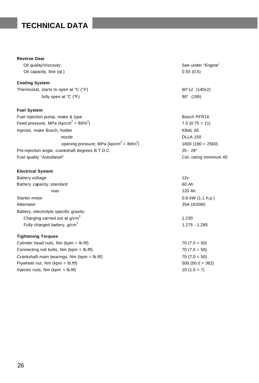# **TECHNICAL DATA**

#### **Reverse Gear**

Oil capacity, litre (qt.) 0.55 (0.5)

#### **Cooling System**

Thermostat, starts to open at  $^{\circ}C$  ( $^{\circ}F$ ) 60°±2 (140±2) fully open at  ${}^{\circ}C$  ( ${}^{\circ}F$ ) 90° (195)

#### **Fuel System**

| Fuel injection pump, make & type                                  | Bosch PFR <sub>1</sub> K |
|-------------------------------------------------------------------|--------------------------|
| Feed pressure, MPa (kp/cm <sup>2</sup> = lbf/in <sup>2</sup> )    | $7.5(0.75 = 11)$         |
| Injector, make Bosch, holder                                      | KBAL 65                  |
| nozzle                                                            | <b>DLLA 150</b>          |
| opening pressure, MPa (kp/cm <sup>2</sup> = lbf/in <sup>2</sup> ) | $1800 (180 = 2560)$      |
| Pre-injection angle, crankshaft degrees B.T.D.C.                  | $25 - 28^{\circ}$        |
| Fuel quality "Autodiesel"                                         | Cet. rating minimum 45   |

#### **Electrical System**

Battery voltage 12v Battery capacity, standard 60 Ah max 120 Ah Starter motor 0.8 kW (1.1 h.p.) Alternator 35A (420W) Battery, electrolyte specific gravity: Charging carried out at g/cm<sup>3</sup> Fully charged battery,  $g/cm<sup>3</sup>$ 

#### **Tightening Torques**

| Cylinder head nuts, Nm (kpm = lb.ftf)        |
|----------------------------------------------|
| Connecting rod bolts, $Nm$ (kpm = $lb.ftf$ ) |
| Crankshaft main bearings, Nm (kpm = lb.ftf   |
| Flywheel nut, $Nm$ (kpm = $lb.fit$ )         |
| Injector nuts, $Nm$ (kpm = lb.ftf)           |

Oil quality/Viscosity **See under "Engine"** See under "Engine"

1.230 1.275 - 1.285  $70 (7.0 = 50)$  $70 (7.0 = 50)$  $(7.0 = 50)$  $500 (50.0 = 362)$  $10(1.0 = 7)$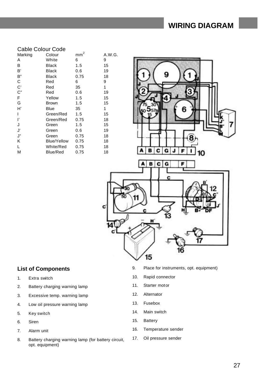### **WIRING DIAGRAM**

|         | Cable Colour Code  |                      |     |
|---------|--------------------|----------------------|-----|
| Marking | Colour             | $\overline{2}$<br>mm | A.V |
| Α       | White              | 6                    | 9   |
| в       | Black              | 1.5                  | 15  |
| B,      | Black              | 0.6                  | 19  |
| В"      | Black              | 0.75                 | 18  |
| C       | Red                | 6                    | 9   |
| C,      | Red                | 35                   | 1   |
| $C$ "   | Red                | 0.6                  | 19  |
| F       | Yellow             | 1.5                  | 15  |
| G       | Brown              | 1.5                  | 15  |
| H       | Blue               | 35                   | 1   |
| ı       | Green/Red          | 1.5                  | 15  |
| ľ       | Green/Red          | 0.75                 | 18  |
| J       | Green              | 1.5                  | 15  |
| J'      | Green              | 0.6                  | 19  |
| J"      | Green              | 0.75                 | 18  |
| Κ       | <b>Blue/Yellow</b> | 0.75                 | 18  |
| L       | White/Red          | 0.75                 | 18  |
| М       | <b>Blue/Red</b>    | 0.75                 | 18  |



#### **List of Components**

- 1. Extra switch
- 2. Battery charging warning lamp
- 3. Excessive temp. warning lamp
- 4. Low oil pressure warning lamp
- 5. Key switch
- 6. Siren
- 7. Alarm unit
- 8. Battery charging warning lamp (for battery circuit, opt. equipment)
- 9. Place for instruments, opt. equipment)
- 10. Rapid connector
- 11. Starter motor
- 12. Alternator
- 13. Fusebox
- 14. Main switch
- 15. Battery
- 16. Temperature sender
- 17. Oil pressure sender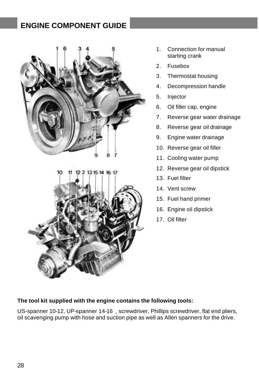# **ENGINE COMPONENT GUIDE**





- 1. Connection for manual starting crank
- 2. Fusebox
- 3. Thermostat housing
- 4. Decompression handle
- 5. Injector
- 6. Oil filler cap, engine
- 7. Reverse gear water drainage
- 8. Reverse gear oil drainage
- 9. Engine water drainage
- 10. Reverse gear oil filler
- 11. Cooling water pump
- 12. Reverse gear oil dipstick
- 13. Fuel filter
- 14. Vent screw
- 15. Fuel hand primer
- 16. Engine oil dipstick
- 17. Oil filter

#### **The tool kit supplied with the engine contains the following tools:**

US-spanner 10-12, UP-spanner 14-16 , screwdriver, Phillips screwdriver, flat end pliers, oil scavenging pump with hose and suction pipe as well as Allen spanners for the drive.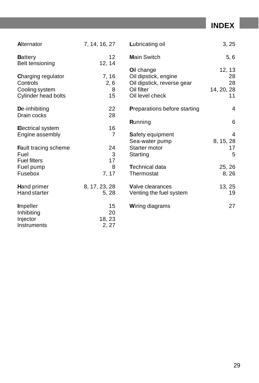**INDEX**

| Alternator                                                                     | 7, 14, 16, 27               | Lubricating oil                                                                                   | 3, 25                                  |
|--------------------------------------------------------------------------------|-----------------------------|---------------------------------------------------------------------------------------------------|----------------------------------------|
| <b>Battery</b><br>Belt tensioning                                              | $12 \overline{ }$<br>12, 14 | <b>Main Switch</b>                                                                                | 5, 6                                   |
| <b>Charging regulator</b><br>Controls<br>Cooling system<br>Cylinder head bolts | 7, 16<br>2, 6<br>8<br>15    | Oil change<br>Oil dipstick, engine<br>Oil dipstick, reverse gear<br>Oil filter<br>Oil level check | 12, 13<br>28<br>28<br>14, 20, 28<br>11 |
| De-inhibiting<br>Drain cocks                                                   | 22<br>28                    | <b>Preparations before starting</b>                                                               | 4                                      |
| <b>Electrical system</b>                                                       | 16                          | Running                                                                                           | 6                                      |
| Engine assembly                                                                | 7                           | <b>Safety equipment</b><br>Sea-water pump                                                         | 4<br>8, 15, 28                         |
| <b>Fault tracing scheme</b><br>Fuel<br><b>Fuel filters</b>                     | 24<br>3<br>17               | Starter motor<br>Starting                                                                         | 17<br>5                                |
| Fuel pump<br>Fusebox                                                           | 8<br>7, 17                  | <b>Technical data</b><br>Thermostat                                                               | 25, 26<br>8,26                         |
| <b>Hand primer</b><br><b>Hand starter</b>                                      | 8, 17, 23, 28<br>5, 28      | <b>Valve clearances</b><br>Venting the fuel system                                                | 13, 25<br>19                           |
| <b>I</b> mpeller<br>Inhibiting<br>Injector<br>Instruments                      | 15<br>20<br>18, 23<br>2, 27 | <b>Wiring diagrams</b>                                                                            | 27                                     |